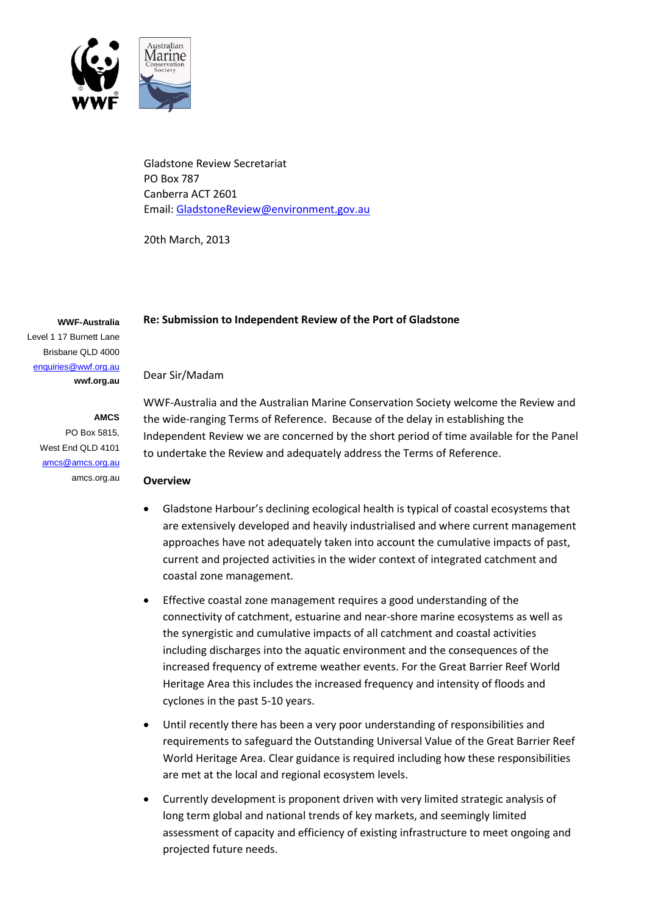

Gladstone Review Secretariat PO Box 787 Canberra ACT 2601 Email: [GladstoneReview@environment.gov.au](mailto:GladstoneReview@environment.gov.au)

20th March, 2013

### **Re: Submission to Independent Review of the Port of Gladstone**

Level 1 17 Burnett Lane Brisbane QLD 4000 [enquiries@wwf.org.au](mailto:enquiries@wwf.org.au) **wwf.org.au**

**WWF-Australia**

**AMCS**  PO Box 5815, West End QLD 4101 [amcs@amcs.org.au](mailto:amcs@amcs.org.au) amcs.org.au

#### Dear Sir/Madam

WWF-Australia and the Australian Marine Conservation Society welcome the Review and the wide-ranging Terms of Reference. Because of the delay in establishing the Independent Review we are concerned by the short period of time available for the Panel to undertake the Review and adequately address the Terms of Reference.

#### **Overview**

- Gladstone Harbour's declining ecological health is typical of coastal ecosystems that are extensively developed and heavily industrialised and where current management approaches have not adequately taken into account the cumulative impacts of past, current and projected activities in the wider context of integrated catchment and coastal zone management.
- Effective coastal zone management requires a good understanding of the connectivity of catchment, estuarine and near-shore marine ecosystems as well as the synergistic and cumulative impacts of all catchment and coastal activities including discharges into the aquatic environment and the consequences of the increased frequency of extreme weather events. For the Great Barrier Reef World Heritage Area this includes the increased frequency and intensity of floods and cyclones in the past 5-10 years.
- Until recently there has been a very poor understanding of responsibilities and requirements to safeguard the Outstanding Universal Value of the Great Barrier Reef World Heritage Area. Clear guidance is required including how these responsibilities are met at the local and regional ecosystem levels.
- Currently development is proponent driven with very limited strategic analysis of long term global and national trends of key markets, and seemingly limited assessment of capacity and efficiency of existing infrastructure to meet ongoing and projected future needs.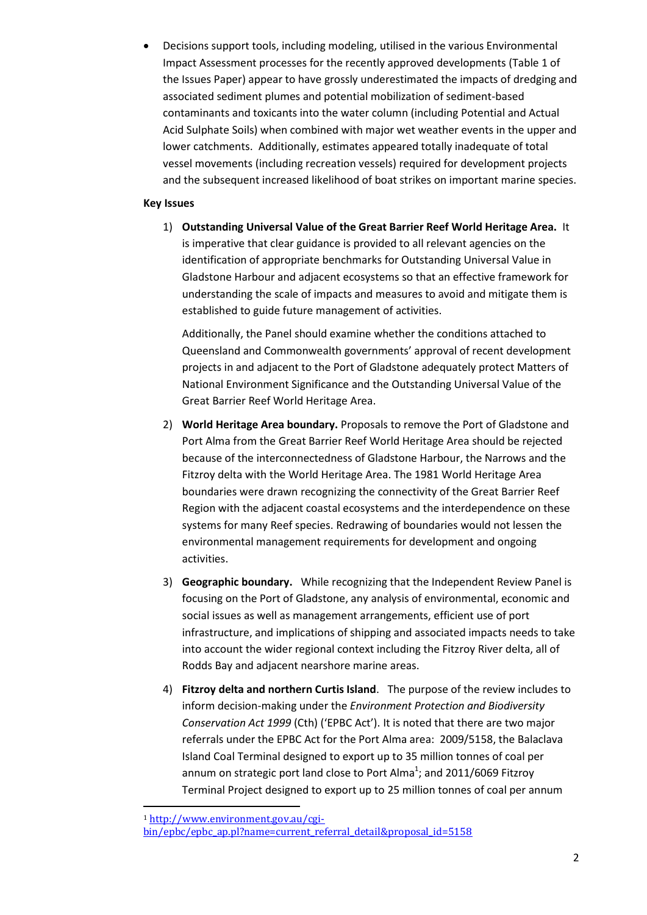Decisions support tools, including modeling, utilised in the various Environmental Impact Assessment processes for the recently approved developments (Table 1 of the Issues Paper) appear to have grossly underestimated the impacts of dredging and associated sediment plumes and potential mobilization of sediment-based contaminants and toxicants into the water column (including Potential and Actual Acid Sulphate Soils) when combined with major wet weather events in the upper and lower catchments. Additionally, estimates appeared totally inadequate of total vessel movements (including recreation vessels) required for development projects and the subsequent increased likelihood of boat strikes on important marine species.

## **Key Issues**

1) **Outstanding Universal Value of the Great Barrier Reef World Heritage Area.** It is imperative that clear guidance is provided to all relevant agencies on the identification of appropriate benchmarks for Outstanding Universal Value in Gladstone Harbour and adjacent ecosystems so that an effective framework for understanding the scale of impacts and measures to avoid and mitigate them is established to guide future management of activities.

Additionally, the Panel should examine whether the conditions attached to Queensland and Commonwealth governments' approval of recent development projects in and adjacent to the Port of Gladstone adequately protect Matters of National Environment Significance and the Outstanding Universal Value of the Great Barrier Reef World Heritage Area.

- 2) **World Heritage Area boundary.** Proposals to remove the Port of Gladstone and Port Alma from the Great Barrier Reef World Heritage Area should be rejected because of the interconnectedness of Gladstone Harbour, the Narrows and the Fitzroy delta with the World Heritage Area. The 1981 World Heritage Area boundaries were drawn recognizing the connectivity of the Great Barrier Reef Region with the adjacent coastal ecosystems and the interdependence on these systems for many Reef species. Redrawing of boundaries would not lessen the environmental management requirements for development and ongoing activities.
- 3) **Geographic boundary.** While recognizing that the Independent Review Panel is focusing on the Port of Gladstone, any analysis of environmental, economic and social issues as well as management arrangements, efficient use of port infrastructure, and implications of shipping and associated impacts needs to take into account the wider regional context including the Fitzroy River delta, all of Rodds Bay and adjacent nearshore marine areas.
- 4) **Fitzroy delta and northern Curtis Island**. The purpose of the review includes to inform decision-making under the *Environment Protection and Biodiversity Conservation Act 1999* (Cth) ('EPBC Act'). It is noted that there are two major referrals under the EPBC Act for the Port Alma area: 2009/5158, the Balaclava Island Coal Terminal designed to export up to 35 million tonnes of coal per annum on strategic port land close to Port Alma<sup>1</sup>; and 2011/6069 Fitzroy Terminal Project designed to export up to 25 million tonnes of coal per annum

1

<sup>1</sup> [http://www.environment.gov.au/cgi-](http://www.environment.gov.au/cgi-bin/epbc/epbc_ap.pl?name=current_referral_detail&proposal_id=5158)

[bin/epbc/epbc\\_ap.pl?name=current\\_referral\\_detail&proposal\\_id=5158](http://www.environment.gov.au/cgi-bin/epbc/epbc_ap.pl?name=current_referral_detail&proposal_id=5158)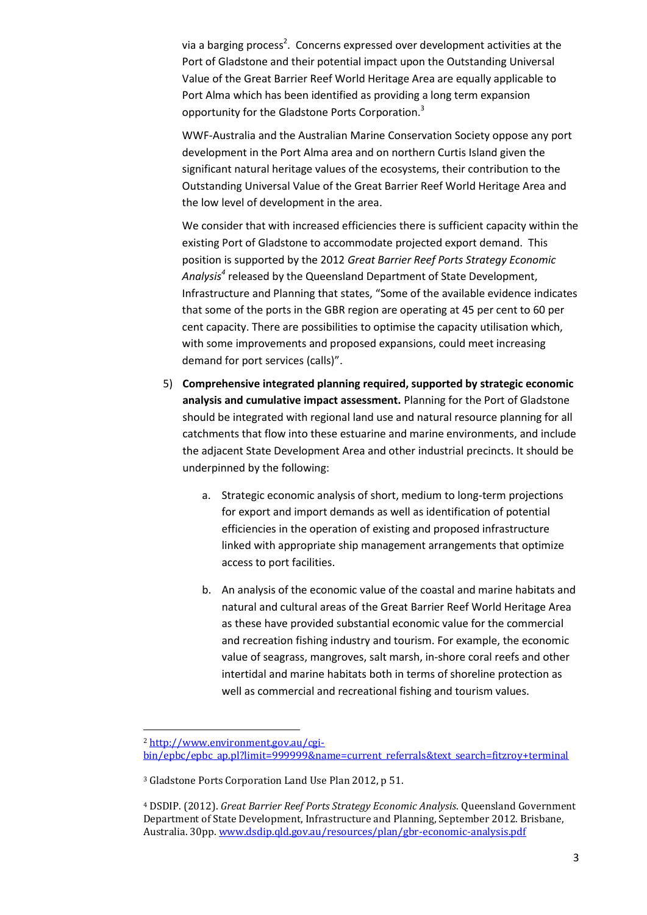via a barging process<sup>2</sup>. Concerns expressed over development activities at the Port of Gladstone and their potential impact upon the Outstanding Universal Value of the Great Barrier Reef World Heritage Area are equally applicable to Port Alma which has been identified as providing a long term expansion opportunity for the Gladstone Ports Corporation.<sup>3</sup>

WWF-Australia and the Australian Marine Conservation Society oppose any port development in the Port Alma area and on northern Curtis Island given the significant natural heritage values of the ecosystems, their contribution to the Outstanding Universal Value of the Great Barrier Reef World Heritage Area and the low level of development in the area.

We consider that with increased efficiencies there is sufficient capacity within the existing Port of Gladstone to accommodate projected export demand. This position is supported by the 2012 *Great Barrier Reef Ports Strategy Economic Analysis<sup>4</sup>* released by the Queensland Department of State Development, Infrastructure and Planning that states, "Some of the available evidence indicates that some of the ports in the GBR region are operating at 45 per cent to 60 per cent capacity. There are possibilities to optimise the capacity utilisation which, with some improvements and proposed expansions, could meet increasing demand for port services (calls)".

- 5) **Comprehensive integrated planning required, supported by strategic economic analysis and cumulative impact assessment.** Planning for the Port of Gladstone should be integrated with regional land use and natural resource planning for all catchments that flow into these estuarine and marine environments, and include the adjacent State Development Area and other industrial precincts. It should be underpinned by the following:
	- a. Strategic economic analysis of short, medium to long-term projections for export and import demands as well as identification of potential efficiencies in the operation of existing and proposed infrastructure linked with appropriate ship management arrangements that optimize access to port facilities.
	- b. An analysis of the economic value of the coastal and marine habitats and natural and cultural areas of the Great Barrier Reef World Heritage Area as these have provided substantial economic value for the commercial and recreation fishing industry and tourism. For example, the economic value of seagrass, mangroves, salt marsh, in-shore coral reefs and other intertidal and marine habitats both in terms of shoreline protection as well as commercial and recreational fishing and tourism values.

**<sup>.</sup>** <sup>2</sup> [http://www.environment.gov.au/cgi](http://www.environment.gov.au/cgi-bin/epbc/epbc_ap.pl?limit=999999&name=current_referrals&text_search=fitzroy+terminal)[bin/epbc/epbc\\_ap.pl?limit=999999&name=current\\_referrals&text\\_search=fitzroy+terminal](http://www.environment.gov.au/cgi-bin/epbc/epbc_ap.pl?limit=999999&name=current_referrals&text_search=fitzroy+terminal)

<sup>3</sup> Gladstone Ports Corporation Land Use Plan 2012, p 51.

<sup>4</sup> DSDIP. (2012). *Great Barrier Reef Ports Strategy Economic Analysis*. Queensland Government Department of State Development, Infrastructure and Planning, September 2012. Brisbane, Australia. 30pp[. www.dsdip.qld.gov.au/resources/plan/gbr-economic-analysis.pdf](http://www.dsdip.qld.gov.au/resources/plan/gbr-economic-analysis.pdf)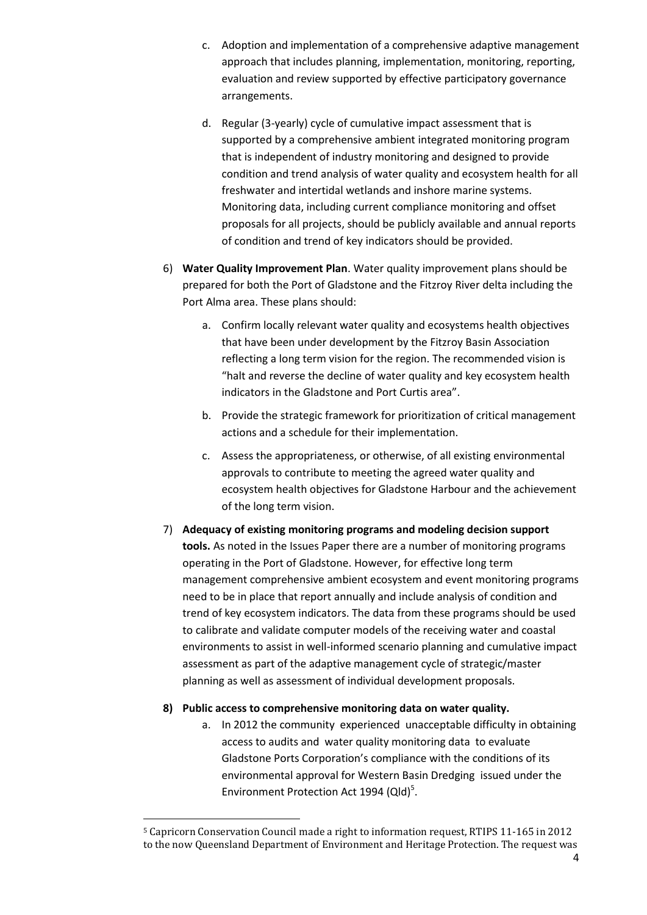- c. Adoption and implementation of a comprehensive adaptive management approach that includes planning, implementation, monitoring, reporting, evaluation and review supported by effective participatory governance arrangements.
- d. Regular (3-yearly) cycle of cumulative impact assessment that is supported by a comprehensive ambient integrated monitoring program that is independent of industry monitoring and designed to provide condition and trend analysis of water quality and ecosystem health for all freshwater and intertidal wetlands and inshore marine systems. Monitoring data, including current compliance monitoring and offset proposals for all projects, should be publicly available and annual reports of condition and trend of key indicators should be provided.
- 6) **Water Quality Improvement Plan**. Water quality improvement plans should be prepared for both the Port of Gladstone and the Fitzroy River delta including the Port Alma area. These plans should:
	- a. Confirm locally relevant water quality and ecosystems health objectives that have been under development by the Fitzroy Basin Association reflecting a long term vision for the region. The recommended vision is "halt and reverse the decline of water quality and key ecosystem health indicators in the Gladstone and Port Curtis area".
	- b. Provide the strategic framework for prioritization of critical management actions and a schedule for their implementation.
	- c. Assess the appropriateness, or otherwise, of all existing environmental approvals to contribute to meeting the agreed water quality and ecosystem health objectives for Gladstone Harbour and the achievement of the long term vision.
- 7) **Adequacy of existing monitoring programs and modeling decision support tools.** As noted in the Issues Paper there are a number of monitoring programs operating in the Port of Gladstone. However, for effective long term management comprehensive ambient ecosystem and event monitoring programs need to be in place that report annually and include analysis of condition and trend of key ecosystem indicators. The data from these programs should be used to calibrate and validate computer models of the receiving water and coastal environments to assist in well-informed scenario planning and cumulative impact assessment as part of the adaptive management cycle of strategic/master planning as well as assessment of individual development proposals.

# **8) Public access to comprehensive monitoring data on water quality.**

 $\overline{a}$ 

a. In 2012 the community experienced unacceptable difficulty in obtaining access to audits and water quality monitoring data to evaluate Gladstone Ports Corporation's compliance with the conditions of its environmental approval for Western Basin Dredging issued under the Environment Protection Act 1994 (Qld)<sup>5</sup>.

<sup>5</sup> Capricorn Conservation Council made a right to information request, RTIPS 11-165 in 2012 to the now Queensland Department of Environment and Heritage Protection. The request was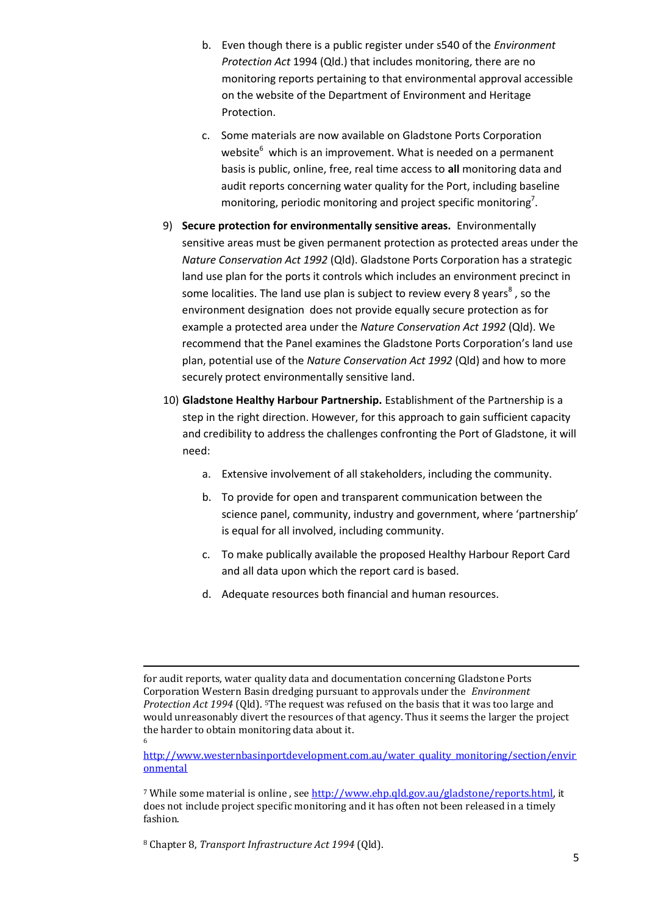- b. Even though there is a public register under s540 of the *Environment Protection Act* 1994 (Qld.) that includes monitoring, there are no monitoring reports pertaining to that environmental approval accessible on the website of the Department of Environment and Heritage Protection.
- c. Some materials are now available on Gladstone Ports Corporation website<sup>6</sup> which is an improvement. What is needed on a permanent basis is public, online, free, real time access to **all** monitoring data and audit reports concerning water quality for the Port, including baseline monitoring, periodic monitoring and project specific monitoring<sup>7</sup>.
- 9) **Secure protection for environmentally sensitive areas.** Environmentally sensitive areas must be given permanent protection as protected areas under the *Nature Conservation Act 1992* (Qld). Gladstone Ports Corporation has a strategic land use plan for the ports it controls which includes an environment precinct in some localities. The land use plan is subject to review every 8 years<sup>8</sup>, so the environment designation does not provide equally secure protection as for example a protected area under the *Nature Conservation Act 1992* (Qld). We recommend that the Panel examines the Gladstone Ports Corporation's land use plan, potential use of the *Nature Conservation Act 1992* (Qld) and how to more securely protect environmentally sensitive land.
- 10) **Gladstone Healthy Harbour Partnership.** Establishment of the Partnership is a step in the right direction. However, for this approach to gain sufficient capacity and credibility to address the challenges confronting the Port of Gladstone, it will need:
	- a. Extensive involvement of all stakeholders, including the community.
	- b. To provide for open and transparent communication between the science panel, community, industry and government, where 'partnership' is equal for all involved, including community.
	- c. To make publically available the proposed Healthy Harbour Report Card and all data upon which the report card is based.
	- d. Adequate resources both financial and human resources.

[http://www.westernbasinportdevelopment.com.au/water\\_quality\\_monitoring/section/envir](http://www.westernbasinportdevelopment.com.au/water_quality_monitoring/section/environmental) [onmental](http://www.westernbasinportdevelopment.com.au/water_quality_monitoring/section/environmental)

**.** 

for audit reports, water quality data and documentation concerning Gladstone Ports Corporation Western Basin dredging pursuant to approvals under the *Environment Protection Act 1994* (Qld). 5The request was refused on the basis that it was too large and would unreasonably divert the resources of that agency. Thus it seems the larger the project the harder to obtain monitoring data about it. 6

<sup>7</sup> While some material is online , see [http://www.ehp.qld.gov.au/gladstone/reports.html,](http://www.ehp.qld.gov.au/gladstone/reports.html) it does not include project specific monitoring and it has often not been released in a timely fashion.

<sup>8</sup> Chapter 8, *Transport Infrastructure Act 1994* (Qld).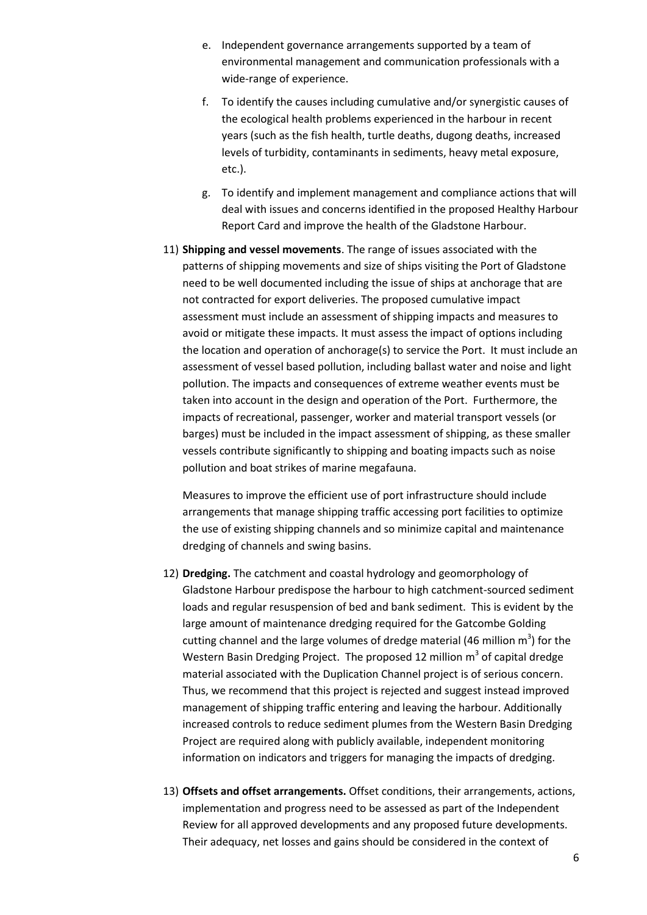- e. Independent governance arrangements supported by a team of environmental management and communication professionals with a wide-range of experience.
- f. To identify the causes including cumulative and/or synergistic causes of the ecological health problems experienced in the harbour in recent years (such as the fish health, turtle deaths, dugong deaths, increased levels of turbidity, contaminants in sediments, heavy metal exposure, etc.).
- g. To identify and implement management and compliance actions that will deal with issues and concerns identified in the proposed Healthy Harbour Report Card and improve the health of the Gladstone Harbour.
- 11) **Shipping and vessel movements**. The range of issues associated with the patterns of shipping movements and size of ships visiting the Port of Gladstone need to be well documented including the issue of ships at anchorage that are not contracted for export deliveries. The proposed cumulative impact assessment must include an assessment of shipping impacts and measures to avoid or mitigate these impacts. It must assess the impact of options including the location and operation of anchorage(s) to service the Port. It must include an assessment of vessel based pollution, including ballast water and noise and light pollution. The impacts and consequences of extreme weather events must be taken into account in the design and operation of the Port. Furthermore, the impacts of recreational, passenger, worker and material transport vessels (or barges) must be included in the impact assessment of shipping, as these smaller vessels contribute significantly to shipping and boating impacts such as noise pollution and boat strikes of marine megafauna.

Measures to improve the efficient use of port infrastructure should include arrangements that manage shipping traffic accessing port facilities to optimize the use of existing shipping channels and so minimize capital and maintenance dredging of channels and swing basins.

- 12) **Dredging.** The catchment and coastal hydrology and geomorphology of Gladstone Harbour predispose the harbour to high catchment-sourced sediment loads and regular resuspension of bed and bank sediment. This is evident by the large amount of maintenance dredging required for the Gatcombe Golding cutting channel and the large volumes of dredge material (46 million  $m^3$ ) for the Western Basin Dredging Project. The proposed 12 million  $m^3$  of capital dredge material associated with the Duplication Channel project is of serious concern. Thus, we recommend that this project is rejected and suggest instead improved management of shipping traffic entering and leaving the harbour. Additionally increased controls to reduce sediment plumes from the Western Basin Dredging Project are required along with publicly available, independent monitoring information on indicators and triggers for managing the impacts of dredging.
- 13) **Offsets and offset arrangements.** Offset conditions, their arrangements, actions, implementation and progress need to be assessed as part of the Independent Review for all approved developments and any proposed future developments. Their adequacy, net losses and gains should be considered in the context of